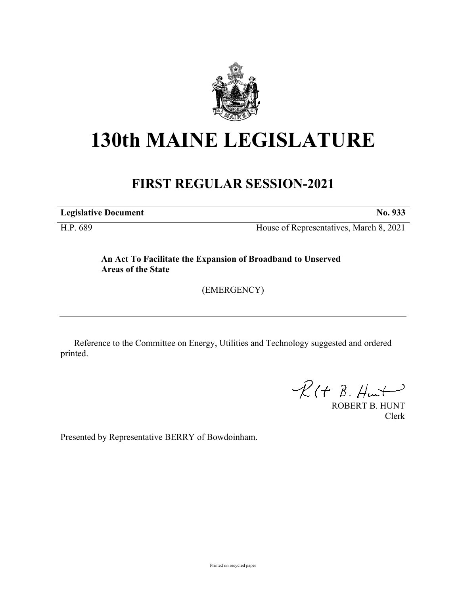

## **130th MAINE LEGISLATURE**

## **FIRST REGULAR SESSION-2021**

**Legislative Document No. 933**

H.P. 689 House of Representatives, March 8, 2021

**An Act To Facilitate the Expansion of Broadband to Unserved Areas of the State**

(EMERGENCY)

Reference to the Committee on Energy, Utilities and Technology suggested and ordered printed.

 $R(H B. H<sub>ur</sub>)$ 

ROBERT B. HUNT Clerk

Presented by Representative BERRY of Bowdoinham.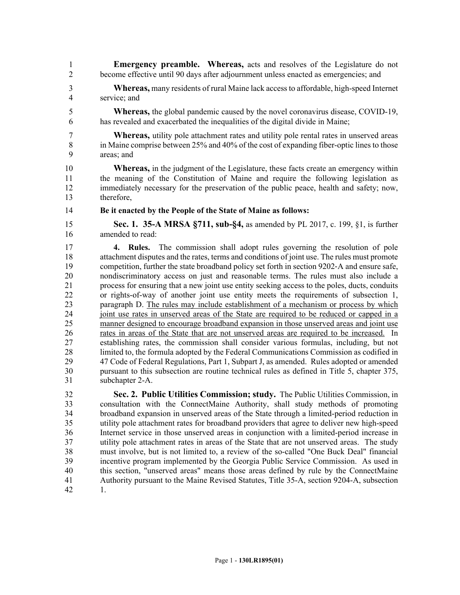1 **Emergency preamble. Whereas,** acts and resolves of the Legislature do not 2 become effective until 90 days after adjournment unless enacted as emergencies; and

3 **Whereas,** many residents of rural Maine lack access to affordable, high-speed Internet 4 service; and

5 **Whereas,** the global pandemic caused by the novel coronavirus disease, COVID-19, 6 has revealed and exacerbated the inequalities of the digital divide in Maine;

7 **Whereas,** utility pole attachment rates and utility pole rental rates in unserved areas 8 in Maine comprise between 25% and 40% of the cost of expanding fiber-optic lines to those<br>9 areas: and areas: and

10 **Whereas,** in the judgment of the Legislature, these facts create an emergency within 11 the meaning of the Constitution of Maine and require the following legislation as 12 immediately necessary for the preservation of the public peace, health and safety; now, 13 therefore,

14 **Be it enacted by the People of the State of Maine as follows:**

15 **Sec. 1. 35-A MRSA §711, sub-§4,** as amended by PL 2017, c. 199, §1, is further 16 amended to read:

17 **4. Rules.** The commission shall adopt rules governing the resolution of pole 18 attachment disputes and the rates, terms and conditions of joint use. The rules must promote 19 competition, further the state broadband policy set forth in section 9202–A and ensure safe, 20 nondiscriminatory access on just and reasonable terms. The rules must also include a process for ensuring that a new ioint use entity seeking access to the poles, ducts, conduits 21 process for ensuring that a new joint use entity seeking access to the poles, ducts, conduits 22 or rights-of-way of another joint use entity meets the requirements of subsection 1, 23 paragraph D. The rules may include establishment of a mechanism or process by which 24 joint use rates in unserved areas of the State are required to be reduced or capped in a 25 manner designed to encourage broadband expansion in those unserved areas and joint use 26 rates in areas of the State that are not unserved areas are required to be increased. In 27 establishing rates, the commission shall consider various formulas, including, but not 28 limited to, the formula adopted by the Federal Communications Commission as codified in 29 47 Code of Federal Regulations, Part 1, Subpart J, as amended. Rules adopted or amended 30 pursuant to this subsection are routine technical rules as defined in Title 5, chapter 375, subchapter 2-A. subchapter 2-A.

32 **Sec. 2. Public Utilities Commission; study.** The Public Utilities Commission, in 33 consultation with the ConnectMaine Authority, shall study methods of promoting 34 broadband expansion in unserved areas of the State through a limited-period reduction in 35 utility pole attachment rates for broadband providers that agree to deliver new high-speed 36 Internet service in those unserved areas in conjunction with a limited-period increase in 37 utility pole attachment rates in areas of the State that are not unserved areas. The study 38 must involve, but is not limited to, a review of the so-called "One Buck Deal" financial 39 incentive program implemented by the Georgia Public Service Commission. As used in 40 this section, "unserved areas" means those areas defined by rule by the ConnectMaine 41 Authority pursuant to the Maine Revised Statutes, Title 35-A, section 9204-A, subsection 42 1.